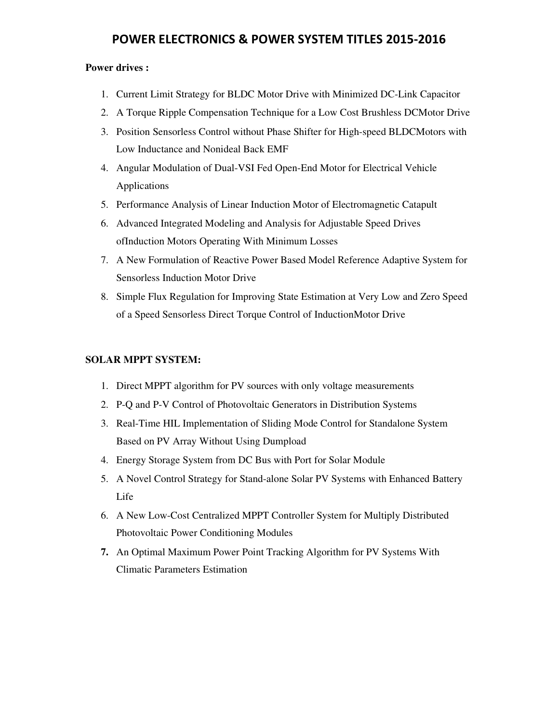#### **Power drives :**

- 1. Current Limit Strategy for BLDC Motor Drive with Minimized DC-Link Capacitor
- 2. A Torque Ripple Compensation Technique for a Low Cost Brushless DCMotor Drive
- 3. Position Sensorless Control without Phase Shifter for High-speed BLDCMotors with Low Inductance and Nonideal Back EMF
- 4. Angular Modulation of Dual-VSI Fed Open-End Motor for Electrical Vehicle Applications
- 5. Performance Analysis of Linear Induction Motor of Electromagnetic Catapult
- 6. Advanced Integrated Modeling and Analysis for Adjustable Speed Drives ofInduction Motors Operating With Minimum Losses
- 7. A New Formulation of Reactive Power Based Model Reference Adaptive System for Sensorless Induction Motor Drive
- 8. Simple Flux Regulation for Improving State Estimation at Very Low and Zero Speed of a Speed Sensorless Direct Torque Control of InductionMotor Drive

#### **SOLAR MPPT SYSTEM:**

- 1. Direct MPPT algorithm for PV sources with only voltage measurements
- 2. P-Q and P-V Control of Photovoltaic Generators in Distribution Systems
- 3. Real-Time HIL Implementation of Sliding Mode Control for Standalone System Based on PV Array Without Using Dumpload
- 4. Energy Storage System from DC Bus with Port for Solar Module
- 5. A Novel Control Strategy for Stand-alone Solar PV Systems with Enhanced Battery Life
- 6. A New Low-Cost Centralized MPPT Controller System for Multiply Distributed Photovoltaic Power Conditioning Modules
- **7.** An Optimal Maximum Power Point Tracking Algorithm for PV Systems With Climatic Parameters Estimation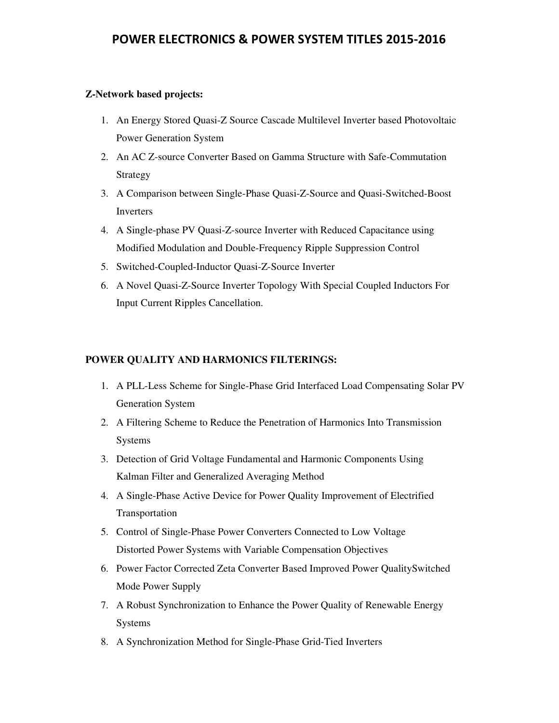#### **Z-Network based projects:**

- 1. An Energy Stored Quasi-Z Source Cascade Multilevel Inverter based Photovoltaic Power Generation System
- 2. An AC Z-source Converter Based on Gamma Structure with Safe-Commutation Strategy
- 3. A Comparison between Single-Phase Quasi-Z-Source and Quasi-Switched-Boost Inverters
- 4. A Single-phase PV Quasi-Z-source Inverter with Reduced Capacitance using Modified Modulation and Double-Frequency Ripple Suppression Control
- 5. Switched-Coupled-Inductor Quasi-Z-Source Inverter
- 6. A Novel Quasi-Z-Source Inverter Topology With Special Coupled Inductors For Input Current Ripples Cancellation.

#### **POWER QUALITY AND HARMONICS FILTERINGS:**

- 1. A PLL-Less Scheme for Single-Phase Grid Interfaced Load Compensating Solar PV Generation System
- 2. A Filtering Scheme to Reduce the Penetration of Harmonics Into Transmission Systems
- 3. Detection of Grid Voltage Fundamental and Harmonic Components Using Kalman Filter and Generalized Averaging Method
- 4. A Single-Phase Active Device for Power Quality Improvement of Electrified Transportation
- 5. Control of Single-Phase Power Converters Connected to Low Voltage Distorted Power Systems with Variable Compensation Objectives
- 6. Power Factor Corrected Zeta Converter Based Improved Power QualitySwitched Mode Power Supply
- 7. A Robust Synchronization to Enhance the Power Quality of Renewable Energy Systems
- 8. A Synchronization Method for Single-Phase Grid-Tied Inverters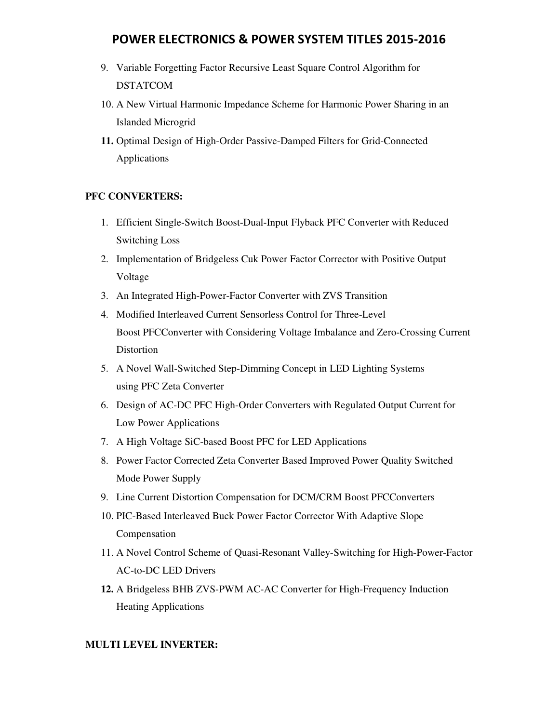- 9. Variable Forgetting Factor Recursive Least Square Control Algorithm for DSTATCOM
- 10. A New Virtual Harmonic Impedance Scheme for Harmonic Power Sharing in an Islanded Microgrid
- **11.** Optimal Design of High-Order Passive-Damped Filters for Grid-Connected Applications

### **PFC CONVERTERS:**

- 1. Efficient Single-Switch Boost-Dual-Input Flyback PFC Converter with Reduced Switching Loss
- 2. Implementation of Bridgeless Cuk Power Factor Corrector with Positive Output Voltage
- 3. An Integrated High-Power-Factor Converter with ZVS Transition
- 4. Modified Interleaved Current Sensorless Control for Three-Level Boost PFCConverter with Considering Voltage Imbalance and Zero-Crossing Current Distortion
- 5. A Novel Wall-Switched Step-Dimming Concept in LED Lighting Systems using PFC Zeta Converter
- 6. Design of AC-DC PFC High-Order Converters with Regulated Output Current for Low Power Applications
- 7. A High Voltage SiC-based Boost PFC for LED Applications
- 8. Power Factor Corrected Zeta Converter Based Improved Power Quality Switched Mode Power Supply
- 9. Line Current Distortion Compensation for DCM/CRM Boost PFCConverters
- 10. PIC-Based Interleaved Buck Power Factor Corrector With Adaptive Slope Compensation
- 11. A Novel Control Scheme of Quasi-Resonant Valley-Switching for High-Power-Factor AC-to-DC LED Drivers
- **12.** A Bridgeless BHB ZVS-PWM AC-AC Converter for High-Frequency Induction Heating Applications

### **MULTI LEVEL INVERTER:**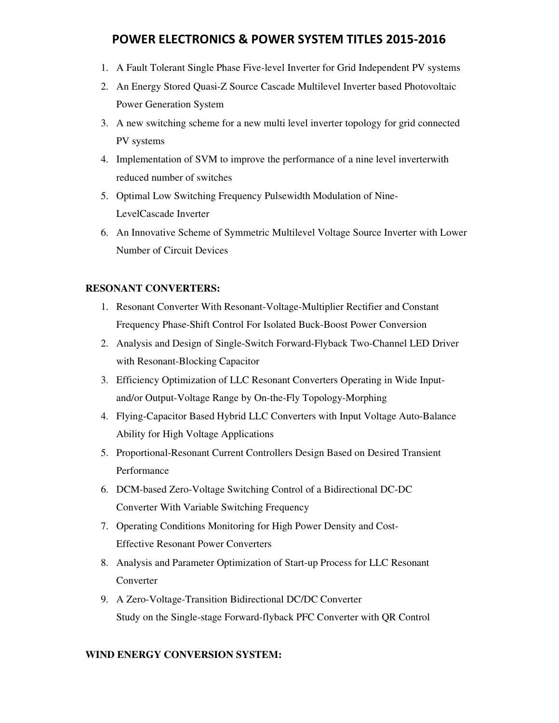- 1. A Fault Tolerant Single Phase Five-level Inverter for Grid Independent PV systems
- 2. An Energy Stored Quasi-Z Source Cascade Multilevel Inverter based Photovoltaic Power Generation System
- 3. A new switching scheme for a new multi level inverter topology for grid connected PV systems
- 4. Implementation of SVM to improve the performance of a nine level inverterwith reduced number of switches
- 5. Optimal Low Switching Frequency Pulsewidth Modulation of Nine-LevelCascade Inverter
- 6. An Innovative Scheme of Symmetric Multilevel Voltage Source Inverter with Lower Number of Circuit Devices

### **RESONANT CONVERTERS:**

- 1. Resonant Converter With Resonant-Voltage-Multiplier Rectifier and Constant Frequency Phase-Shift Control For Isolated Buck-Boost Power Conversion
- 2. Analysis and Design of Single-Switch Forward-Flyback Two-Channel LED Driver with Resonant-Blocking Capacitor
- 3. Efficiency Optimization of LLC Resonant Converters Operating in Wide Inputand/or Output-Voltage Range by On-the-Fly Topology-Morphing
- 4. Flying-Capacitor Based Hybrid LLC Converters with Input Voltage Auto-Balance Ability for High Voltage Applications
- 5. Proportional-Resonant Current Controllers Design Based on Desired Transient Performance
- 6. DCM-based Zero-Voltage Switching Control of a Bidirectional DC-DC Converter With Variable Switching Frequency
- 7. Operating Conditions Monitoring for High Power Density and Cost-Effective Resonant Power Converters
- 8. Analysis and Parameter Optimization of Start-up Process for LLC Resonant Converter
- 9. A Zero-Voltage-Transition Bidirectional DC/DC Converter Study on the Single-stage Forward-flyback PFC Converter with QR Control

### **WIND ENERGY CONVERSION SYSTEM:**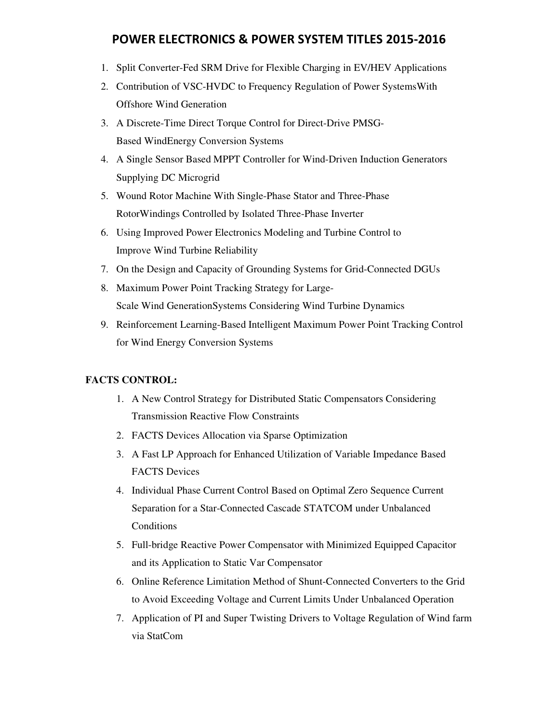- 1. Split Converter-Fed SRM Drive for Flexible Charging in EV/HEV Applications
- 2. Contribution of VSC-HVDC to Frequency Regulation of Power SystemsWith Offshore Wind Generation
- 3. A Discrete-Time Direct Torque Control for Direct-Drive PMSG-Based WindEnergy Conversion Systems
- 4. A Single Sensor Based MPPT Controller for Wind-Driven Induction Generators Supplying DC Microgrid
- 5. Wound Rotor Machine With Single-Phase Stator and Three-Phase RotorWindings Controlled by Isolated Three-Phase Inverter
- 6. Using Improved Power Electronics Modeling and Turbine Control to Improve Wind Turbine Reliability
- 7. On the Design and Capacity of Grounding Systems for Grid-Connected DGUs
- 8. Maximum Power Point Tracking Strategy for Large-Scale Wind GenerationSystems Considering Wind Turbine Dynamics
- 9. Reinforcement Learning-Based Intelligent Maximum Power Point Tracking Control for Wind Energy Conversion Systems

### **FACTS CONTROL:**

- 1. A New Control Strategy for Distributed Static Compensators Considering Transmission Reactive Flow Constraints
- 2. FACTS Devices Allocation via Sparse Optimization
- 3. A Fast LP Approach for Enhanced Utilization of Variable Impedance Based FACTS Devices
- 4. Individual Phase Current Control Based on Optimal Zero Sequence Current Separation for a Star-Connected Cascade STATCOM under Unbalanced **Conditions**
- 5. Full-bridge Reactive Power Compensator with Minimized Equipped Capacitor and its Application to Static Var Compensator
- 6. Online Reference Limitation Method of Shunt-Connected Converters to the Grid to Avoid Exceeding Voltage and Current Limits Under Unbalanced Operation
- 7. Application of PI and Super Twisting Drivers to Voltage Regulation of Wind farm via StatCom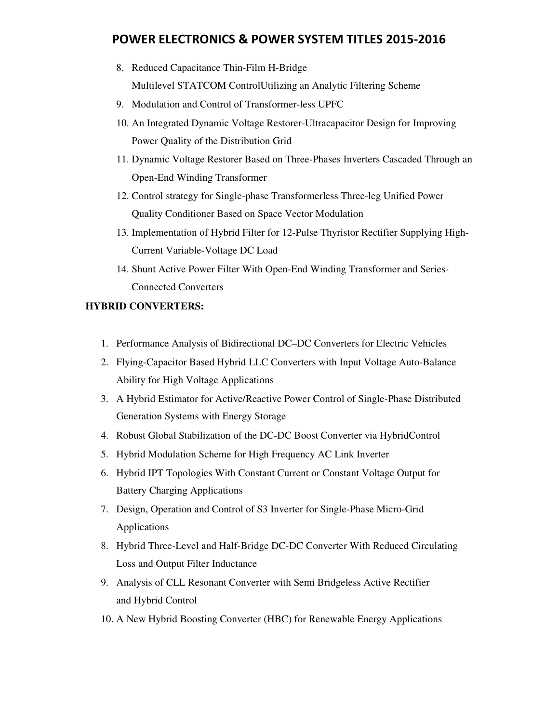- 8. Reduced Capacitance Thin-Film H-Bridge Multilevel STATCOM ControlUtilizing an Analytic Filtering Scheme
- 9. Modulation and Control of Transformer-less UPFC
- 10. An Integrated Dynamic Voltage Restorer-Ultracapacitor Design for Improving Power Quality of the Distribution Grid
- 11. Dynamic Voltage Restorer Based on Three-Phases Inverters Cascaded Through an Open-End Winding Transformer
- 12. Control strategy for Single-phase Transformerless Three-leg Unified Power Quality Conditioner Based on Space Vector Modulation
- 13. Implementation of Hybrid Filter for 12-Pulse Thyristor Rectifier Supplying High-Current Variable-Voltage DC Load
- 14. Shunt Active Power Filter With Open-End Winding Transformer and Series-Connected Converters

### **HYBRID CONVERTERS:**

- 1. Performance Analysis of Bidirectional DC–DC Converters for Electric Vehicles
- 2. Flying-Capacitor Based Hybrid LLC Converters with Input Voltage Auto-Balance Ability for High Voltage Applications
- 3. A Hybrid Estimator for Active/Reactive Power Control of Single-Phase Distributed Generation Systems with Energy Storage
- 4. Robust Global Stabilization of the DC-DC Boost Converter via HybridControl
- 5. Hybrid Modulation Scheme for High Frequency AC Link Inverter
- 6. Hybrid IPT Topologies With Constant Current or Constant Voltage Output for Battery Charging Applications
- 7. Design, Operation and Control of S3 Inverter for Single-Phase Micro-Grid Applications
- 8. Hybrid Three-Level and Half-Bridge DC-DC Converter With Reduced Circulating Loss and Output Filter Inductance
- 9. Analysis of CLL Resonant Converter with Semi Bridgeless Active Rectifier and Hybrid Control
- 10. A New Hybrid Boosting Converter (HBC) for Renewable Energy Applications